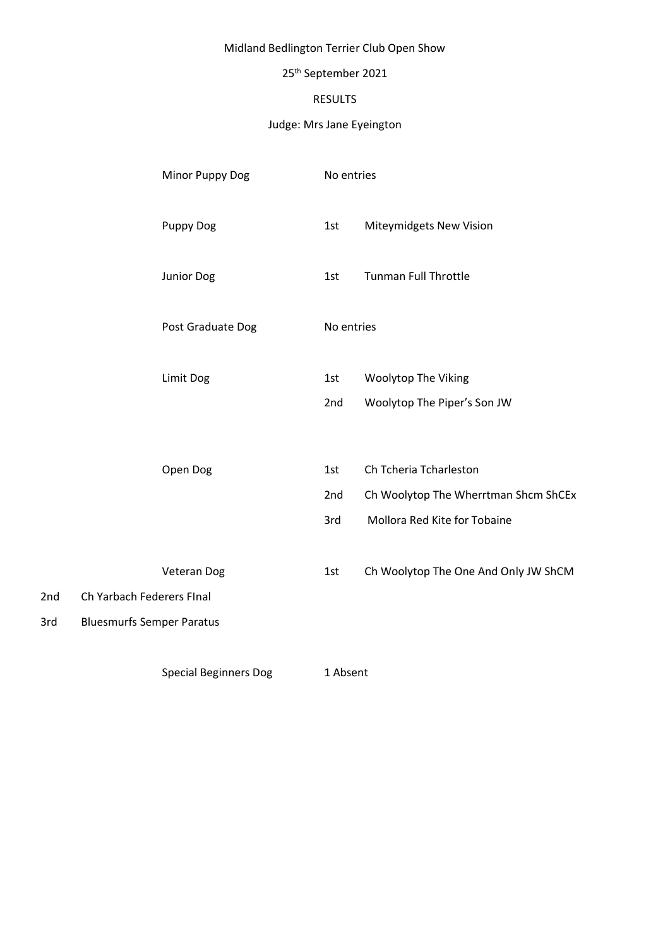# Midland Bedlington Terrier Club Open Show

# 25th September 2021

# RESULTS

### Judge: Mrs Jane Eyeington

|     | Minor Puppy Dog                  | No entries |                                      |
|-----|----------------------------------|------------|--------------------------------------|
|     | <b>Puppy Dog</b>                 | 1st        | Miteymidgets New Vision              |
|     | Junior Dog                       | 1st        | <b>Tunman Full Throttle</b>          |
|     | Post Graduate Dog                | No entries |                                      |
|     | Limit Dog                        | 1st        | <b>Woolytop The Viking</b>           |
|     |                                  | 2nd        | Woolytop The Piper's Son JW          |
|     | Open Dog                         | 1st        | Ch Tcheria Tcharleston               |
|     |                                  | 2nd        | Ch Woolytop The Wherrtman Shcm ShCEx |
|     |                                  | 3rd        | Mollora Red Kite for Tobaine         |
|     | Veteran Dog                      | 1st        | Ch Woolytop The One And Only JW ShCM |
| 2nd | Ch Yarbach Federers FInal        |            |                                      |
| 3rd | <b>Bluesmurfs Semper Paratus</b> |            |                                      |

Special Beginners Dog 1 Absent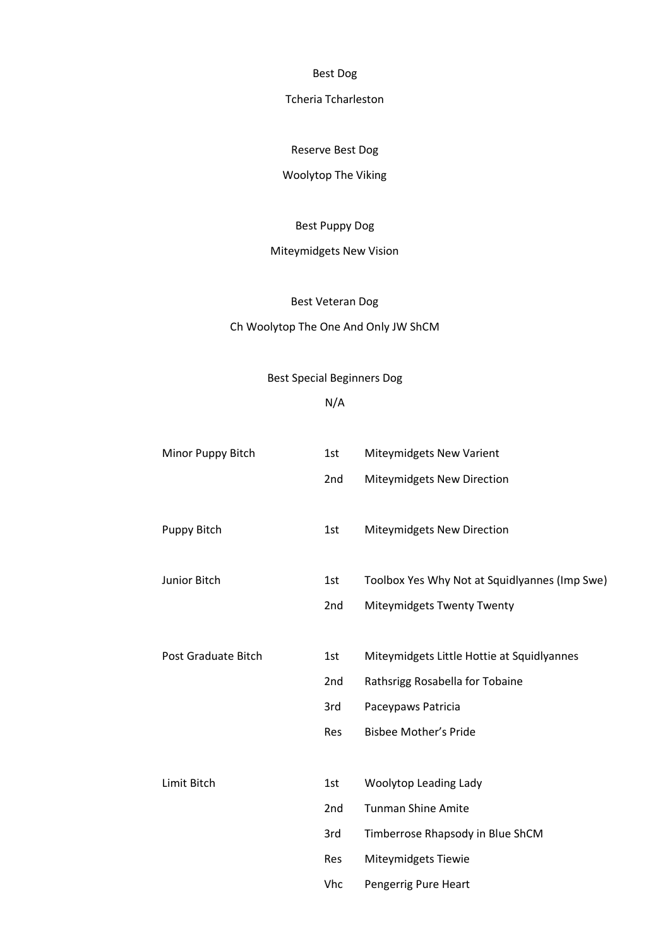Best Dog

#### Tcheria Tcharleston

Reserve Best Dog

# Woolytop The Viking

#### Best Puppy Dog

# Miteymidgets New Vision

#### Best Veteran Dog

### Ch Woolytop The One And Only JW ShCM

#### Best Special Beginners Dog

### N/A

| Minor Puppy Bitch          | 1st | Miteymidgets New Varient                      |  |
|----------------------------|-----|-----------------------------------------------|--|
|                            | 2nd | Miteymidgets New Direction                    |  |
| Puppy Bitch                | 1st | Miteymidgets New Direction                    |  |
| Junior Bitch               | 1st | Toolbox Yes Why Not at Squidlyannes (Imp Swe) |  |
|                            | 2nd | Miteymidgets Twenty Twenty                    |  |
|                            |     |                                               |  |
| <b>Post Graduate Bitch</b> | 1st | Miteymidgets Little Hottie at Squidlyannes    |  |
|                            | 2nd | Rathsrigg Rosabella for Tobaine               |  |
|                            | 3rd | Paceypaws Patricia                            |  |
|                            | Res | <b>Bisbee Mother's Pride</b>                  |  |
|                            |     |                                               |  |
| Limit Bitch                | 1st | Woolytop Leading Lady                         |  |
|                            | 2nd | <b>Tunman Shine Amite</b>                     |  |
|                            | 3rd | Timberrose Rhapsody in Blue ShCM              |  |
|                            | Res | Miteymidgets Tiewie                           |  |
|                            | Vhc | Pengerrig Pure Heart                          |  |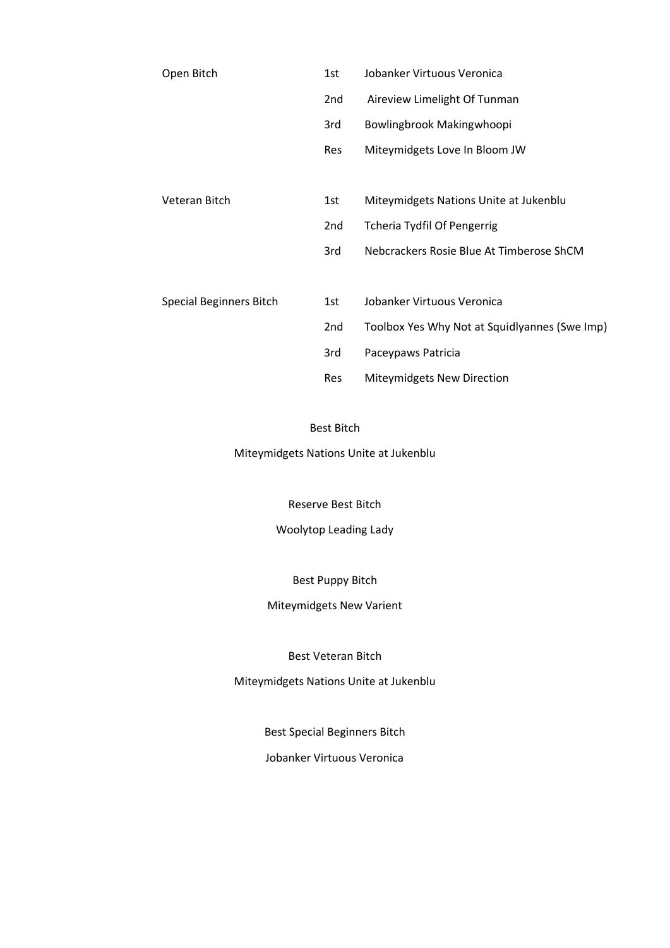| Open Bitch                     | 1st | Jobanker Virtuous Veronica                    |
|--------------------------------|-----|-----------------------------------------------|
|                                | 2nd | Aireview Limelight Of Tunman                  |
|                                | 3rd | Bowlingbrook Makingwhoopi                     |
|                                | Res | Miteymidgets Love In Bloom JW                 |
|                                |     |                                               |
| Veteran Bitch                  | 1st | Miteymidgets Nations Unite at Jukenblu        |
|                                | 2nd | <b>Tcheria Tydfil Of Pengerrig</b>            |
|                                | 3rd | Nebcrackers Rosie Blue At Timberose ShCM      |
|                                |     |                                               |
| <b>Special Beginners Bitch</b> | 1st | Jobanker Virtuous Veronica                    |
|                                | 2nd | Toolbox Yes Why Not at Squidlyannes (Swe Imp) |
|                                | 3rd | Paceypaws Patricia                            |
|                                | Res | Miteymidgets New Direction                    |

#### Best Bitch

Miteymidgets Nations Unite at Jukenblu

Reserve Best Bitch

## Woolytop Leading Lady

Best Puppy Bitch

### Miteymidgets New Varient

#### Best Veteran Bitch

Miteymidgets Nations Unite at Jukenblu

### Best Special Beginners Bitch

#### Jobanker Virtuous Veronica